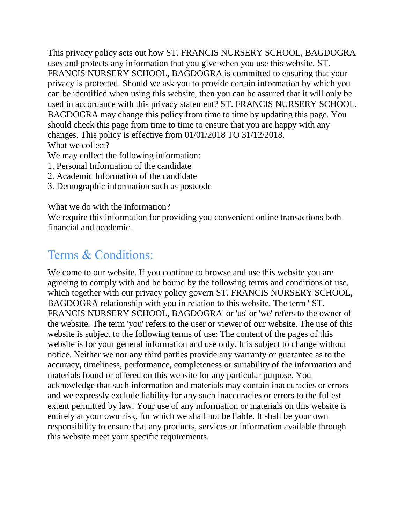This privacy policy sets out how ST. FRANCIS NURSERY SCHOOL, BAGDOGRA uses and protects any information that you give when you use this website. ST. FRANCIS NURSERY SCHOOL, BAGDOGRA is committed to ensuring that your privacy is protected. Should we ask you to provide certain information by which you can be identified when using this website, then you can be assured that it will only be used in accordance with this privacy statement? ST. FRANCIS NURSERY SCHOOL, BAGDOGRA may change this policy from time to time by updating this page. You should check this page from time to time to ensure that you are happy with any changes. This policy is effective from 01/01/2018 TO 31/12/2018. What we collect?

We may collect the following information:

- 1. Personal Information of the candidate
- 2. Academic Information of the candidate
- 3. Demographic information such as postcode

What we do with the information?

We require this information for providing you convenient online transactions both financial and academic.

## Terms & Conditions:

Welcome to our website. If you continue to browse and use this website you are agreeing to comply with and be bound by the following terms and conditions of use, which together with our privacy policy govern ST. FRANCIS NURSERY SCHOOL, BAGDOGRA relationship with you in relation to this website. The term ' ST. FRANCIS NURSERY SCHOOL, BAGDOGRA' or 'us' or 'we' refers to the owner of the website. The term 'you' refers to the user or viewer of our website. The use of this website is subject to the following terms of use: The content of the pages of this website is for your general information and use only. It is subject to change without notice. Neither we nor any third parties provide any warranty or guarantee as to the accuracy, timeliness, performance, completeness or suitability of the information and materials found or offered on this website for any particular purpose. You acknowledge that such information and materials may contain inaccuracies or errors and we expressly exclude liability for any such inaccuracies or errors to the fullest extent permitted by law. Your use of any information or materials on this website is entirely at your own risk, for which we shall not be liable. It shall be your own responsibility to ensure that any products, services or information available through this website meet your specific requirements.